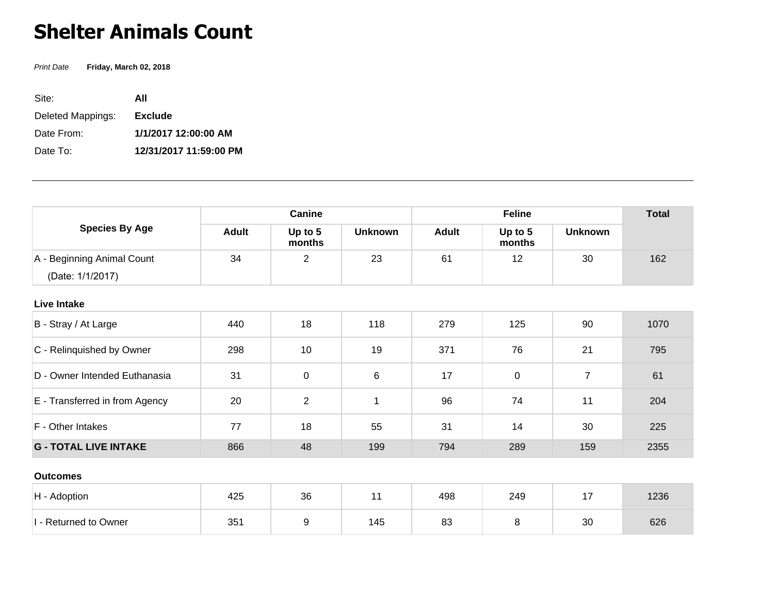## **Shelter Animals Count**

Print Date **Friday, March 02, 2018**

| Site:             | ΑII                    |
|-------------------|------------------------|
| Deleted Mappings: | <b>Exclude</b>         |
| Date From:        | 1/1/2017 12:00:00 AM   |
| Date To:          | 12/31/2017 11:59:00 PM |

| <b>Species By Age</b>          | Canine       |                   |                | <b>Feline</b> |                   |                | <b>Total</b> |
|--------------------------------|--------------|-------------------|----------------|---------------|-------------------|----------------|--------------|
|                                | <b>Adult</b> | Up to 5<br>months | <b>Unknown</b> | <b>Adult</b>  | Up to 5<br>months | <b>Unknown</b> |              |
| A - Beginning Animal Count     | 34           | 2                 | 23             | 61            | 12                | 30             | 162          |
| (Date: 1/1/2017)               |              |                   |                |               |                   |                |              |
| <b>Live Intake</b>             |              |                   |                |               |                   |                |              |
| B - Stray / At Large           | 440          | 18                | 118            | 279           | 125               | 90             | 1070         |
| C - Relinquished by Owner      | 298          | 10                | 19             | 371           | 76                | 21             | 795          |
| D - Owner Intended Euthanasia  | 31           | 0                 | 6              | 17            | 0                 | $\overline{7}$ | 61           |
| E - Transferred in from Agency | 20           | $\overline{2}$    | $\mathbf{1}$   | 96            | 74                | 11             | 204          |
| F - Other Intakes              | 77           | 18                | 55             | 31            | 14                | 30             | 225          |
| <b>G - TOTAL LIVE INTAKE</b>   | 866          | 48                | 199            | 794           | 289               | 159            | 2355         |
| <b>Outcomes</b>                |              |                   |                |               |                   |                |              |
| H - Adoption                   | 425          | 36                | 11             | 498           | 249               | 17             | 1236         |
|                                |              |                   |                |               |                   |                |              |

1 - Returned to Owner | 351 | 9 | 145 | 83 | 8 | 30 | 626